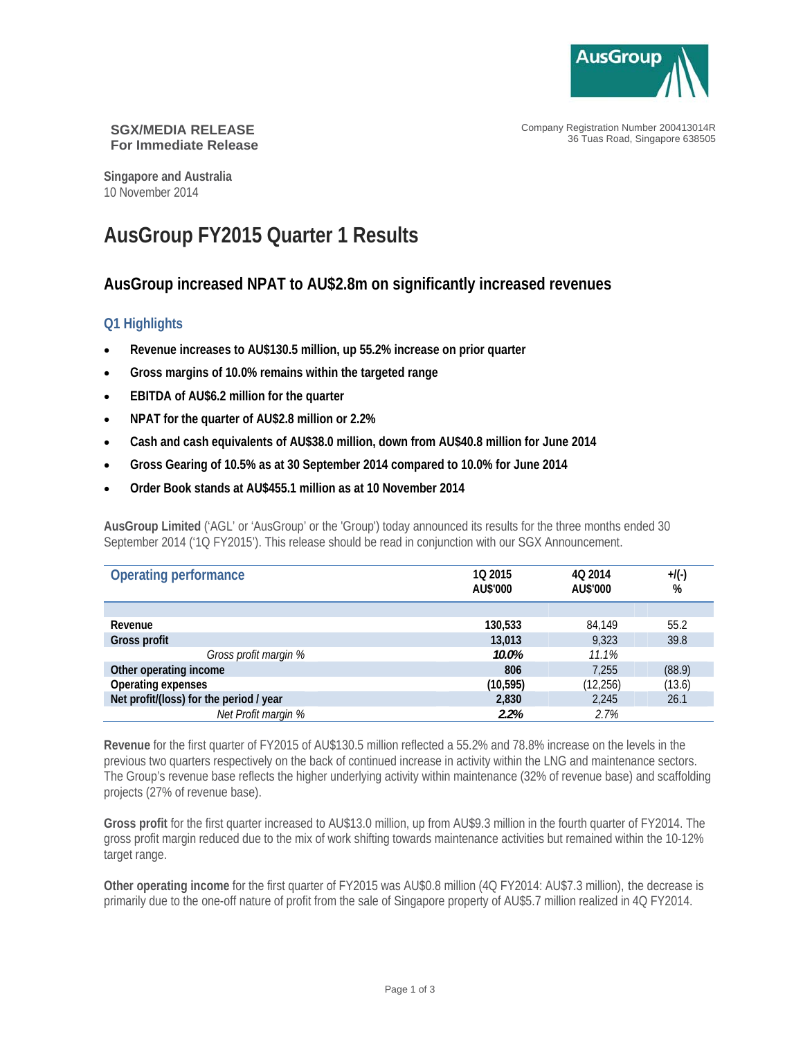

Company Registration Number 200413014R 36 Tuas Road, Singapore 638505

#### **SGX/MEDIA RELEASE For Immediate Release**

**Singapore and Australia**  10 November 2014

# **AusGroup FY2015 Quarter 1 Results**

## **AusGroup increased NPAT to AU\$2.8m on significantly increased revenues**

### **Q1 Highlights**

- **Revenue increases to AU\$130.5 million, up 55.2% increase on prior quarter**
- **Gross margins of 10.0% remains within the targeted range**
- **EBITDA of AU\$6.2 million for the quarter**
- **NPAT for the quarter of AU\$2.8 million or 2.2%**
- **Cash and cash equivalents of AU\$38.0 million, down from AU\$40.8 million for June 2014**
- **Gross Gearing of 10.5% as at 30 September 2014 compared to 10.0% for June 2014**
- **Order Book stands at AU\$455.1 million as at 10 November 2014**

**AusGroup Limited** ('AGL' or 'AusGroup' or the 'Group') today announced its results for the three months ended 30 September 2014 ('1Q FY2015'). This release should be read in conjunction with our SGX Announcement.

| Operating performance                   | 10 2015<br>AU\$'000 | 40 2014<br>AU\$'000 | $+$ /(-)<br>% |
|-----------------------------------------|---------------------|---------------------|---------------|
|                                         |                     |                     |               |
| Revenue                                 | 130,533             | 84.149              | 55.2          |
| Gross profit                            | 13,013              | 9,323               | 39.8          |
| Gross profit margin %                   | 10.0%               | 11.1%               |               |
| Other operating income                  | 806                 | 7.255               | (88.9)        |
| Operating expenses                      | (10, 595)           | (12, 256)           | (13.6)        |
| Net profit/(loss) for the period / year | 2,830               | 2,245               | 26.1          |
| Net Profit margin %                     | 2.2%                | 2.7%                |               |

**Revenue** for the first quarter of FY2015 of AU\$130.5 million reflected a 55.2% and 78.8% increase on the levels in the previous two quarters respectively on the back of continued increase in activity within the LNG and maintenance sectors. The Group's revenue base reflects the higher underlying activity within maintenance (32% of revenue base) and scaffolding projects (27% of revenue base).

**Gross profit** for the first quarter increased to AU\$13.0 million, up from AU\$9.3 million in the fourth quarter of FY2014. The gross profit margin reduced due to the mix of work shifting towards maintenance activities but remained within the 10-12% target range.

**Other operating income** for the first quarter of FY2015 was AU\$0.8 million (4Q FY2014: AU\$7.3 million), the decrease is primarily due to the one-off nature of profit from the sale of Singapore property of AU\$5.7 million realized in 4Q FY2014.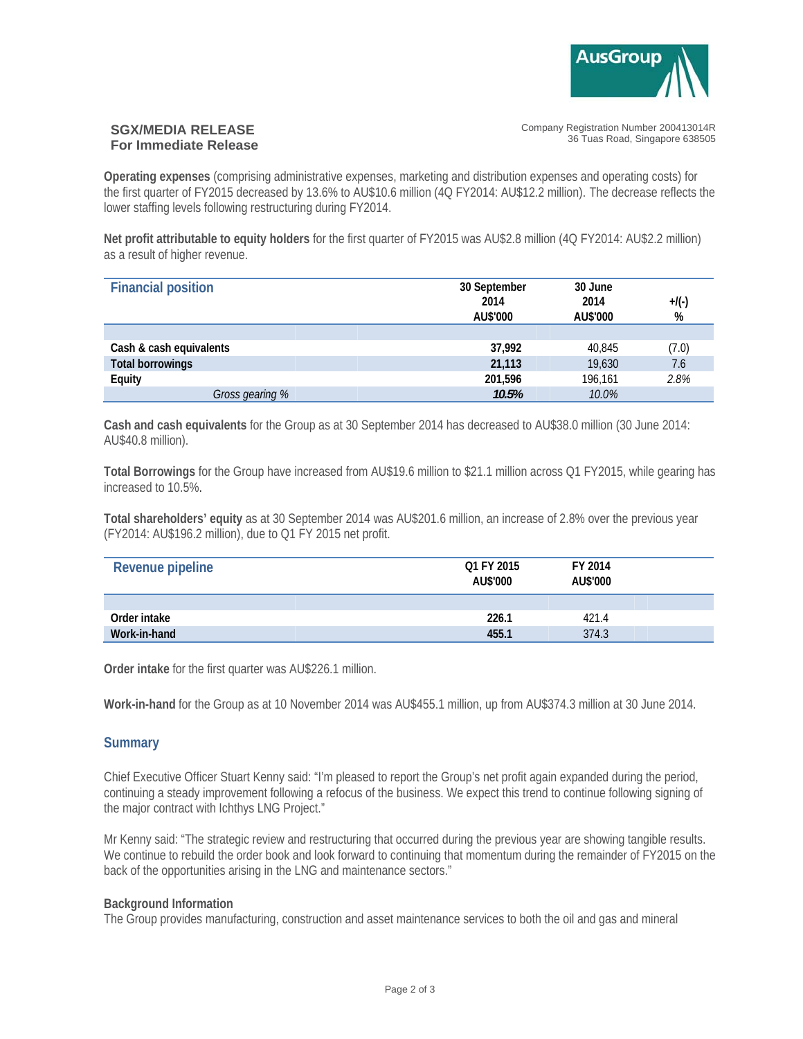

#### **SGX/MEDIA RELEASE For Immediate Release**

Company Registration Number 200413014R 36 Tuas Road, Singapore 638505

**Operating expenses** (comprising administrative expenses, marketing and distribution expenses and operating costs) for the first quarter of FY2015 decreased by 13.6% to AU\$10.6 million (4Q FY2014: AU\$12.2 million). The decrease reflects the lower staffing levels following restructuring during FY2014.

**Net profit attributable to equity holders** for the first quarter of FY2015 was AU\$2.8 million (4Q FY2014: AU\$2.2 million) as a result of higher revenue.

| <b>Financial position</b> | 30 September<br>2014<br>AU\$'000 | 30 June<br>2014<br>AU\$'000 | $+$ /(-)<br>% |
|---------------------------|----------------------------------|-----------------------------|---------------|
|                           |                                  |                             |               |
| Cash & cash equivalents   | 37,992                           | 40,845                      | (7.0)         |
| <b>Total borrowings</b>   | 21,113                           | 19,630                      | 7.6           |
| Equity                    | 201,596                          | 196.161                     | 2.8%          |
| Gross gearing %           | 10.5%                            | 10.0%                       |               |

**Cash and cash equivalents** for the Group as at 30 September 2014 has decreased to AU\$38.0 million (30 June 2014: AU\$40.8 million).

**Total Borrowings** for the Group have increased from AU\$19.6 million to \$21.1 million across Q1 FY2015, while gearing has increased to 10.5%.

**Total shareholders' equity** as at 30 September 2014 was AU\$201.6 million, an increase of 2.8% over the previous year (FY2014: AU\$196.2 million), due to Q1 FY 2015 net profit.

| Revenue pipeline | O1 FY 2015<br>AU\$'000 | FY 2014<br>AU\$'000 |  |
|------------------|------------------------|---------------------|--|
|                  |                        |                     |  |
| Order intake     | 226.1                  | 421.4               |  |
| Work-in-hand     | 455.1                  | 374.3               |  |

**Order intake** for the first quarter was AU\$226.1 million.

**Work-in-hand** for the Group as at 10 November 2014 was AU\$455.1 million, up from AU\$374.3 million at 30 June 2014.

#### **Summary**

Chief Executive Officer Stuart Kenny said: "I'm pleased to report the Group's net profit again expanded during the period, continuing a steady improvement following a refocus of the business. We expect this trend to continue following signing of the major contract with Ichthys LNG Project."

Mr Kenny said: "The strategic review and restructuring that occurred during the previous year are showing tangible results. We continue to rebuild the order book and look forward to continuing that momentum during the remainder of FY2015 on the back of the opportunities arising in the LNG and maintenance sectors."

#### **Background Information**

The Group provides manufacturing, construction and asset maintenance services to both the oil and gas and mineral